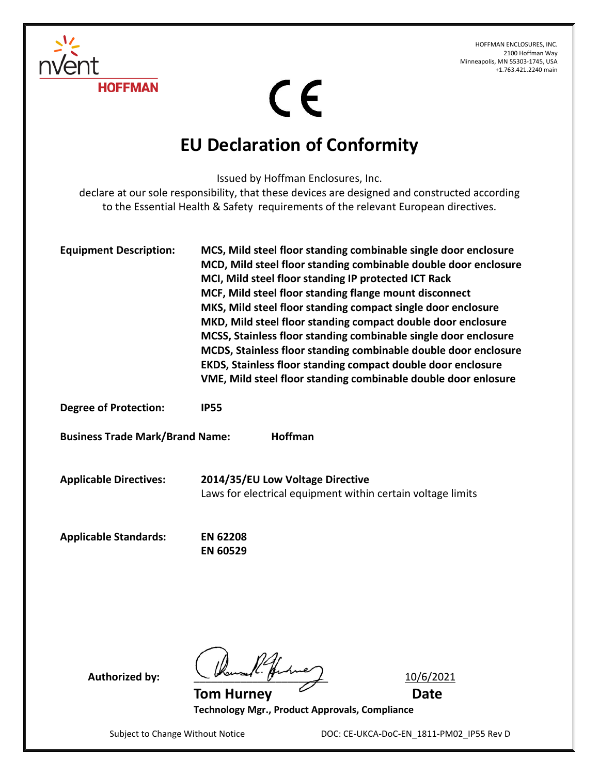HOFFMAN ENCLOSURES, INC. 2100 Hoffman Way Minneapolis, MN 55303-1745, USA +1.763.421.2240 main



 $C \in$ 

## **EU Declaration of Conformity**

Issued by Hoffman Enclosures, Inc.

declare at our sole responsibility, that these devices are designed and constructed according to the Essential Health & Safety requirements of the relevant European directives.

| <b>Equipment Description:</b>                     | MCS, Mild steel floor standing combinable single door enclosure<br>MCD, Mild steel floor standing combinable double door enclosure<br>MCI, Mild steel floor standing IP protected ICT Rack<br>MCF, Mild steel floor standing flange mount disconnect<br>MKS, Mild steel floor standing compact single door enclosure<br>MKD, Mild steel floor standing compact double door enclosure<br>MCSS, Stainless floor standing combinable single door enclosure<br>MCDS, Stainless floor standing combinable double door enclosure<br>EKDS, Stainless floor standing compact double door enclosure<br>VME, Mild steel floor standing combinable double door enlosure |
|---------------------------------------------------|--------------------------------------------------------------------------------------------------------------------------------------------------------------------------------------------------------------------------------------------------------------------------------------------------------------------------------------------------------------------------------------------------------------------------------------------------------------------------------------------------------------------------------------------------------------------------------------------------------------------------------------------------------------|
| <b>Degree of Protection:</b>                      | <b>IP55</b>                                                                                                                                                                                                                                                                                                                                                                                                                                                                                                                                                                                                                                                  |
| Hoffman<br><b>Business Trade Mark/Brand Name:</b> |                                                                                                                                                                                                                                                                                                                                                                                                                                                                                                                                                                                                                                                              |
| <b>Applicable Directives:</b>                     | 2014/35/EU Low Voltage Directive<br>Laws for electrical equipment within certain voltage limits                                                                                                                                                                                                                                                                                                                                                                                                                                                                                                                                                              |
| <b>Applicable Standards:</b>                      | <b>EN 62208</b><br><b>EN 60529</b>                                                                                                                                                                                                                                                                                                                                                                                                                                                                                                                                                                                                                           |

Authorized by: Wouse Presence 2016/2021

**Tom Hurney**   $\sim$  **Date Technology Mgr., Product Approvals, Compliance**

Subject to Change Without Notice DOC: CE-UKCA-DoC-EN\_1811-PM02\_IP55 Rev D